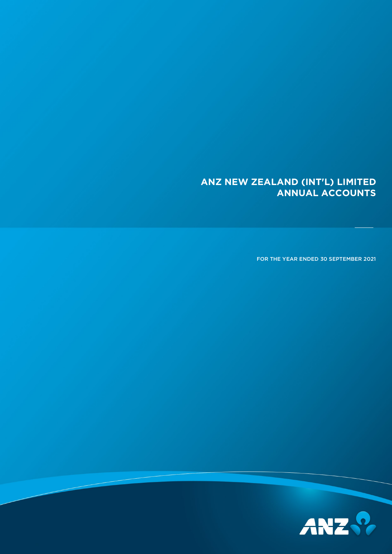## **ANZ NEW ZEALAND (INT'L) LIMITED ANNUAL ACCOUNTS**

FOR THE YEAR ENDED 30 SEPTEMBER 2021

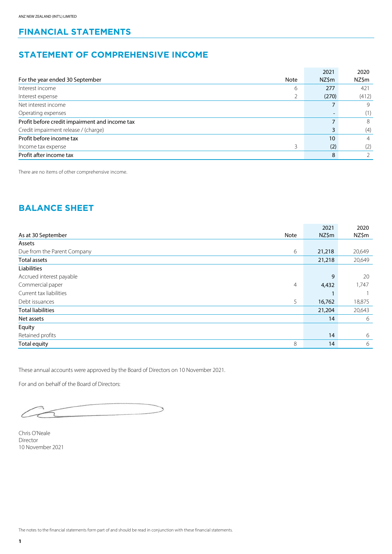## **FINANCIAL STATEMENTS**

## **STATEMENT OF COMPREHENSIVE INCOME**

|                                                |      | 2021            | 2020           |
|------------------------------------------------|------|-----------------|----------------|
| For the year ended 30 September                | Note | NZ\$m           | NZ\$m          |
| Interest income                                | 6    | 277             | 421            |
| Interest expense                               | ∠    | (270)           | (412)          |
| Net interest income                            |      |                 | 9              |
| Operating expenses                             |      | $\qquad \qquad$ | (1)            |
| Profit before credit impairment and income tax |      |                 | 8              |
| Credit impairment release / (charge)           |      | 3               | (4)            |
| Profit before income tax                       |      | 10              | $\overline{4}$ |
| Income tax expense                             | 3    | (2)             | (2)            |
| Profit after income tax                        |      | 8               |                |

There are no items of other comprehensive income.

## **BALANCE SHEET**

|                             |      | 2021   | 2020   |
|-----------------------------|------|--------|--------|
| As at 30 September          | Note | NZ\$m  | NZ\$m  |
| Assets                      |      |        |        |
| Due from the Parent Company | 6    | 21,218 | 20,649 |
| Total assets                |      | 21,218 | 20,649 |
| Liabilities                 |      |        |        |
| Accrued interest payable    |      | 9      | 20     |
| Commercial paper            | 4    | 4,432  | 1,747  |
| Current tax liabilities     |      |        |        |
| Debt issuances              | 5    | 16,762 | 18,875 |
| <b>Total liabilities</b>    |      | 21,204 | 20,643 |
| Net assets                  |      | 14     | 6      |
| Equity                      |      |        |        |
| Retained profits            |      | 14     | 6      |
| <b>Total equity</b>         | 8    | 14     | 6      |

These annual accounts were approved by the Board of Directors on 10 November 2021.

For and on behalf of the Board of Directors:

T

Chris O'Neale Director 10 November 2021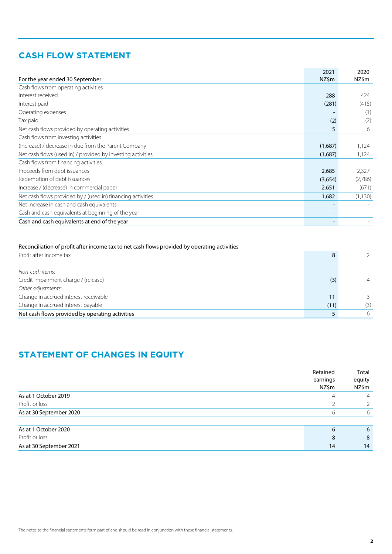## **CASH FLOW STATEMENT**

|                                                             | 2021    | 2020     |
|-------------------------------------------------------------|---------|----------|
| For the year ended 30 September                             | NZ\$m   | NZ\$m    |
| Cash flows from operating activities                        |         |          |
| Interest received                                           | 288     | 424      |
| Interest paid                                               | (281)   | (415)    |
| Operating expenses                                          |         | (1)      |
| Tax paid                                                    | (2)     | (2)      |
| Net cash flows provided by operating activities             | 5       | 6        |
| Cash flows from investing activities                        |         |          |
| (Increase) / decrease in due from the Parent Company        | (1,687) | 1,124    |
| Net cash flows (used in) / provided by investing activities | (1,687) | 1,124    |
| Cash flows from financing activities                        |         |          |
| Proceeds from debt issuances                                | 2,685   | 2,327    |
| Redemption of debt issuances                                | (3,654) | (2,786)  |
| Increase / (decrease) in commercial paper                   | 2,651   | (671)    |
| Net cash flows provided by / (used in) financing activities | 1,682   | (1, 130) |
| Net increase in cash and cash equivalents                   |         |          |
| Cash and cash equivalents at beginning of the year          |         |          |
| Cash and cash equivalents at end of the year                |         |          |

| Reconciliation of profit after income tax to net cash flows provided by operating activities |      |                |
|----------------------------------------------------------------------------------------------|------|----------------|
| Profit after income tax                                                                      | 8    |                |
| Non-cash items:                                                                              |      |                |
| Credit impairment charge / (release)                                                         | (3)  | $\overline{4}$ |
| Other adjustments:                                                                           |      |                |
| Change in accrued interest receivable                                                        | 11   | 3.             |
| Change in accrued interest payable                                                           | (11) | (3)            |
| Net cash flows provided by operating activities                                              |      | 6              |

## **STATEMENT OF CHANGES IN EQUITY**

|                         | Retained<br>earnings<br>NZ\$m | Total<br>equity<br>NZ\$m |
|-------------------------|-------------------------------|--------------------------|
| As at 1 October 2019    |                               | 4                        |
| Profit or loss          |                               |                          |
| As at 30 September 2020 |                               | 6                        |
| As at 1 October 2020    | 6                             | 6                        |
| Profit or loss          | 8                             | 8                        |
| As at 30 September 2021 | 14                            | 14                       |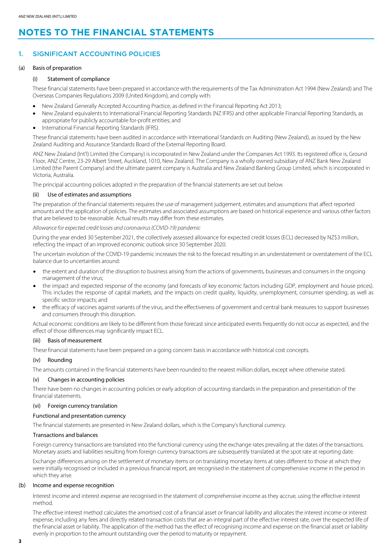## **NOTES TO THE FINANCIAL STATEMENTS**

### 1. SIGNIFICANT ACCOUNTING POLICIES

#### (a) Basis of preparation

#### (i) Statement of compliance

These financial statements have been prepared in accordance with the requirements of the Tax Administration Act 1994 (New Zealand) and The Overseas Companies Regulations 2009 (United Kingdom), and comply with:

- New Zealand Generally Accepted Accounting Practice, as defined in the Financial Reporting Act 2013;
- New Zealand equivalents to International Financial Reporting Standards (NZ IFRS) and other applicable Financial Reporting Standards, as appropriate for publicly accountable for-profit entities; and
- International Financial Reporting Standards (IFRS).

These financial statements have been audited in accordance with International Standards on Auditing (New Zealand), as issued by the New Zealand Auditing and Assurance Standards Board of the External Reporting Board.

ANZ New Zealand (Int'l) Limited (the Company) is incorporated in New Zealand under the Companies Act 1993. Its registered office is, Ground Floor, ANZ Centre, 23-29 Albert Street, Auckland, 1010, New Zealand. The Company is a wholly owned subsidiary of ANZ Bank New Zealand Limited (the Parent Company) and the ultimate parent company is Australia and New Zealand Banking Group Limited, which is incorporated in Victoria, Australia.

The principal accounting policies adopted in the preparation of the financial statements are set out below.

#### (ii) Use of estimates and assumptions

The preparation of the financial statements requires the use of management judgement, estimates and assumptions that affect reported amounts and the application of policies. The estimates and associated assumptions are based on historical experience and various other factors that are believed to be reasonable. Actual results may differ from these estimates.

*Allowance for expected credit losses and coronavirus(COVID-19) pandemic*

During the year ended 30 September 2021, the collectively assessed allowance for expected credit losses (ECL) decreased by NZ\$3 million, reflecting the impact of an improved economic outlook since 30 September 2020.

The uncertain evolution of the COVID-19 pandemic increases the risk to the forecast resulting in an understatement or overstatement of the ECL balance due to uncertainties around:

- the extent and duration of the disruption to business arising from the actions of governments, businesses and consumers in the ongoing management of the virus;
- the impact and expected response of the economy (and forecasts of key economic factors including GDP, employment and house prices). This includes the response of capital markets, and the impacts on credit quality, liquidity, unemployment, consumer spending, as well as specific sector impacts; and
- the efficacy of vaccines against variants of the virus, and the effectiveness of government and central bank measures to support businesses and consumers through this disruption.

Actual economic conditions are likely to be different from those forecast since anticipated events frequently do not occur as expected, and the effect of those differences may significantly impact ECL.

#### (iii) Basis of measurement

These financial statements have been prepared on a going concern basis in accordance with historical cost concepts.

#### (iv) Rounding

The amounts contained in the financial statements have been rounded to the nearest million dollars, except where otherwise stated.

#### (v) Changes in accounting policies

There have been no changes in accounting policies or early adoption of accounting standards in the preparation and presentation of the financial statements.

#### (vi) Foreign currency translation

#### Functional and presentation currency

The financial statements are presented in New Zealand dollars, which is the Company's functional currency.

#### Transactions and balances

Foreign currency transactions are translated into the functional currency using the exchange rates prevailing at the dates of the transactions. Monetary assets and liabilities resulting from foreign currency transactions are subsequently translated at the spot rate at reporting date.

Exchange differences arising on the settlement of monetary items or on translating monetary items at rates different to those at which they were initially recognised or included in a previous financial report, are recognised in the statement of comprehensive income in the period in which they arise.

#### (b) Income and expense recognition

Interest income and interest expense are recognised in the statement of comprehensive income as they accrue, using the effective interest method.

The effective interest method calculates the amortised cost of a financial asset or financial liability and allocates the interest income or interest expense, including any fees and directly related transaction costs that are an integral part of the effective interest rate, over the expected life of the financial asset or liability. The application of the method has the effect of recognising income and expense on the financial asset or liability evenly in proportion to the amount outstanding over the period to maturity or repayment.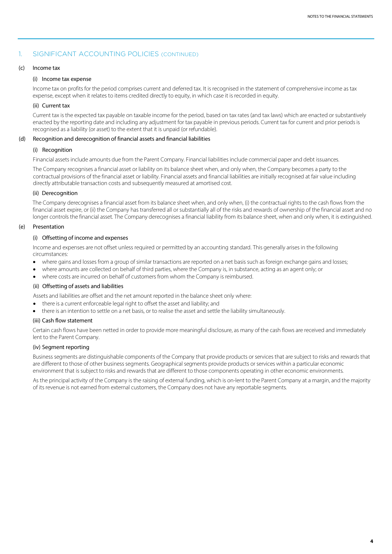#### 1. SIGNIFICANT ACCOUNTING POLICIES (CONTINUED)

#### (c) Income tax

#### (i) Income tax expense

Income tax on profits for the period comprises current and deferred tax. It is recognised in the statement of comprehensive income as tax expense, except when it relates to items credited directly to equity, in which case it is recorded in equity.

#### (ii) Current tax

Current tax is the expected tax payable on taxable income for the period, based on tax rates (and tax laws) which are enacted or substantively enacted by the reporting date and including any adjustment for tax payable in previous periods. Current tax for current and prior periods is recognised as a liability (or asset) to the extent that it is unpaid (or refundable).

#### (d) Recognition and derecognition of financial assets and financial liabilities

#### (i) Recognition

Financial assets include amounts due from the Parent Company. Financial liabilities include commercial paper and debt issuances.

The Company recognises a financial asset or liability on its balance sheet when, and only when, the Company becomes a party to the contractual provisions of the financial asset or liability. Financial assets and financial liabilities are initially recognised at fair value including directly attributable transaction costs and subsequently measured at amortised cost.

#### (ii) Derecognition

The Company derecognises a financial asset from its balance sheet when, and only when, (i) the contractual rights to the cash flows from the financial asset expire, or (ii) the Company has transferred all or substantially all of the risks and rewards of ownership of the financial asset and no longer controls the financial asset. The Company derecognises a financial liability from its balance sheet, when and only when, it is extinguished.

#### (e) Presentation

#### (i) Offsetting of income and expenses

Income and expenses are not offset unless required or permitted by an accounting standard. This generally arises in the following circumstances:

- where gains and losses from a group of similar transactions are reported on a net basis such as foreign exchange gains and losses;
- where amounts are collected on behalf of third parties, where the Company is, in substance, acting as an agent only; or
- where costs are incurred on behalf of customers from whom the Company is reimbursed.

#### (ii) Offsetting of assets and liabilities

Assets and liabilities are offset and the net amount reported in the balance sheet only where:

- there is a current enforceable legal right to offset the asset and liability; and
- there is an intention to settle on a net basis, or to realise the asset and settle the liability simultaneously.

#### (iii) Cash flow statement

Certain cash flows have been netted in order to provide more meaningful disclosure, as many of the cash flows are received and immediately lent to the Parent Company.

#### (iv) Segment reporting

Business segments are distinguishable components of the Company that provide products or services that are subject to risks and rewards that are different to those of other business segments. Geographical segments provide products or services within a particular economic environment that is subject to risks and rewards that are different to those components operating in other economic environments.

As the principal activity of the Company is the raising of external funding, which is on-lent to the Parent Company at a margin, and the majority of its revenue is not earned from external customers, the Company does not have any reportable segments.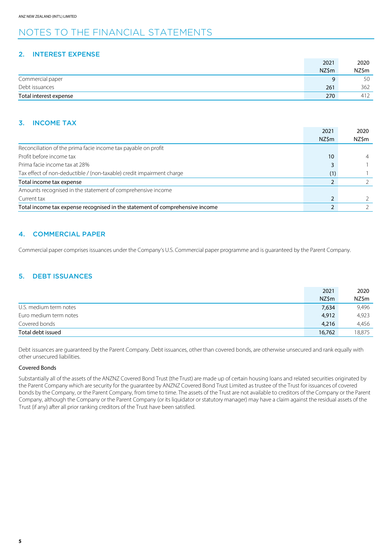## NOTES TO THE FINANCIAL STATEMENTS

#### 2. INTEREST EXPENSE

|                        | 2021  | 2020  |
|------------------------|-------|-------|
|                        | NZ\$m | NZ\$m |
| Commercial paper       | a     | 50    |
| Debt issuances         | 261   | 362   |
| Total interest expense | 270   | 412   |

#### 3. INCOME TAX

|                                                                              | 2021  | 2020  |
|------------------------------------------------------------------------------|-------|-------|
|                                                                              | NZ\$m | NZ\$m |
| Reconciliation of the prima facie income tax payable on profit               |       |       |
| Profit before income tax                                                     | 10    |       |
| Prima facie income tax at 28%                                                |       |       |
| Tax effect of non-deductible / (non-taxable) credit impairment charge        | (1)   |       |
| Total income tax expense                                                     |       |       |
| Amounts recognised in the statement of comprehensive income                  |       |       |
| Current tax                                                                  |       |       |
| Total income tax expense recognised in the statement of comprehensive income |       |       |

#### 4. COMMERCIAL PAPER

Commercial paper comprises issuances under the Company's U.S. Commercial paper programme and is guaranteed by the Parent Company.

#### 5. DEBT ISSUANCES

|                        | 2021   | 2020   |
|------------------------|--------|--------|
|                        | NZ\$m  | NZ\$m  |
| U.S. medium term notes | 7,634  | 9,496  |
| Euro medium term notes | 4,912  | 4.923  |
| Covered bonds          | 4,216  | 4,456  |
| Total debt issued      | 16,762 | 18,875 |

Debt issuances are guaranteed by the Parent Company. Debt issuances, other than covered bonds, are otherwise unsecured and rank equally with other unsecured liabilities.

#### Covered Bonds

Substantially all of the assets of the ANZNZ Covered Bond Trust (the Trust) are made up of certain housing loans and related securities originated by the Parent Company which are security for the guarantee by ANZNZ Covered Bond Trust Limited as trustee of the Trust for issuances of covered bonds by the Company, or the Parent Company, from time to time. The assets of the Trust are not available to creditors of the Company or the Parent Company, although the Company or the Parent Company (or its liquidator or statutory manager) may have a claim against the residual assets of the Trust (if any) after all prior ranking creditors of the Trust have been satisfied.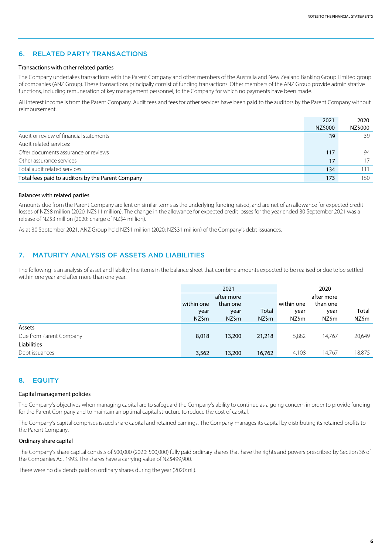#### 6. RELATED PARTY TRANSACTIONS

#### Transactions with other related parties

The Company undertakes transactions with the Parent Company and other members of the Australia and New Zealand Banking Group Limited group of companies (ANZ Group). These transactions principally consist of funding transactions. Other members of the ANZ Group provide administrative functions, including remuneration of key management personnel, to the Company for which no payments have been made.

All interest income is from the Parent Company. Audit fees and fees for other services have been paid to the auditors by the Parent Company without reimbursement.

|                                                   | 2021    | 2020    |
|---------------------------------------------------|---------|---------|
|                                                   | NZ\$000 | NZ\$000 |
| Audit or review of financial statements           | 39      | 39      |
| Audit related services:                           |         |         |
| Offer documents assurance or reviews              | 117     | 94      |
| Other assurance services                          | 17      |         |
| Total audit related services                      | 134     |         |
| Total fees paid to auditors by the Parent Company | 173     | 150     |

#### Balances with related parties

Amounts due from the Parent Company are lent on similar terms as the underlying funding raised, and are net of an allowance for expected credit losses of NZ\$8 million (2020: NZ\$11 million). The change in the allowance for expected credit losses for the year ended 30 September 2021 was a release of NZ\$3 million (2020: charge of NZ\$4 million).

As at 30 September 2021, ANZ Group held NZ\$1 million (2020: NZ\$31 million) of the Company's debt issuances.

#### 7. MATURITY ANALYSIS OF ASSETS AND LIABILITIES

The following is an analysis of asset and liability line items in the balance sheet that combine amounts expected to be realised or due to be settled within one year and after more than one year.

|                         | 2021                   |        |            | 2020     |        |        |
|-------------------------|------------------------|--------|------------|----------|--------|--------|
|                         | after more             |        |            |          |        |        |
|                         | within one<br>than one |        | within one | than one |        |        |
|                         | year                   | year   | Total      | year     | year   | Total  |
|                         | NZ\$m                  | NZ\$m  | NZ\$m      | NZ\$m    | NZ\$m  | NZ\$m  |
| Assets                  |                        |        |            |          |        |        |
| Due from Parent Company | 8,018                  | 13,200 | 21,218     | 5,882    | 14,767 | 20,649 |
| Liabilities             |                        |        |            |          |        |        |
| Debt issuances          | 3,562                  | 13,200 | 16,762     | 4,108    | 14,767 | 18,875 |

#### 8. EQUITY

#### Capital management policies

The Company's objectives when managing capital are to safeguard the Company's ability to continue as a going concern in order to provide funding for the Parent Company and to maintain an optimal capital structure to reduce the cost of capital.

The Company's capital comprises issued share capital and retained earnings. The Company manages its capital by distributing its retained profitsto the Parent Company.

#### Ordinary share capital

The Company's share capital consists of 500,000 (2020: 500,000) fully paid ordinary shares that have the rights and powers prescribed by Section 36 of the Companies Act 1993. The shares have a carrying value of NZ\$499,900.

There were no dividends paid on ordinary shares during the year (2020: nil).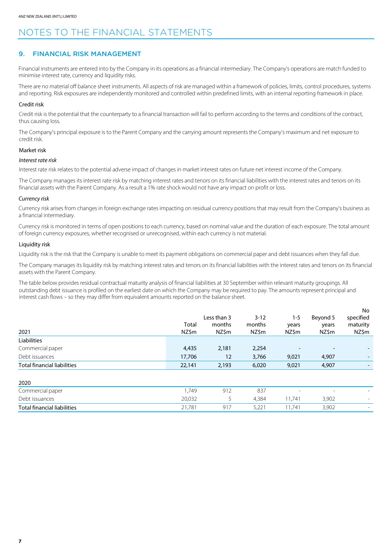## NOTES TO THE FINANCIAL STATEMENTS

#### 9. FINANCIAL RISK MANAGEMENT

Financial instruments are entered into by the Company in its operations as a financial intermediary. The Company's operations are match funded to minimise interest rate, currency and liquidity risks.

There are no material off balance sheet instruments. All aspects of risk are managed within a framework of policies, limits, control procedures, systems and reporting. Risk exposures are independently monitored and controlled within predefined limits, with an internal reporting framework in place.

#### Credit risk

Credit risk is the potential that the counterparty to a financial transaction will fail to perform according to the terms and conditions of the contract, thus causing loss.

The Company's principal exposure is to the Parent Company and the carrying amount represents the Company's maximum and net exposure to credit risk.

#### Market risk

#### *Interest rate risk*

Interest rate risk relates to the potential adverse impact of changes in market interest rates on future net interest income of the Company.

The Company manages its interest rate risk by matching interest rates and tenors on its financial liabilities with the interest rates and tenors on its financial assets with the Parent Company. As a result a 1% rate shock would not have any impact on profit or loss.

#### *Currency risk*

Currency risk arises from changes in foreign exchange rates impacting on residual currency positions that may result from the Company's business as a financial intermediary.

Currency risk is monitored in terms of open positions to each currency, based on nominal value and the duration of each exposure. The total amount of foreign currency exposures, whether recognised or unrecognised, within each currency is not material.

#### Liquidity risk

Liquidity risk is the risk that the Company is unable to meet its payment obligations on commercial paper and debt issuances when they fall due.

The Company manages its liquidity risk by matching interest rates and tenors on its financial liabilities with the interest rates and tenors on its financial assets with the Parent Company.

The table below provides residual contractual maturity analysis of financial liabilities at 30 September within relevant maturity groupings. All outstanding debt issuance is profiled on the earliest date on which the Company may be required to pay. The amounts represent principal and interest cash flows – so they may differ from equivalent amounts reported on the balance sheet.

|                                    |        |             |          |                 |                          | No                       |
|------------------------------------|--------|-------------|----------|-----------------|--------------------------|--------------------------|
|                                    |        | Less than 3 | $3 - 12$ | 1-5             | Beyond 5                 | specified                |
|                                    | Total  | months      | months   | years           | years                    | maturity                 |
| 2021                               | NZ\$m  | NZ\$m       | NZ\$m    | NZ\$m           | NZ\$m                    | NZ\$m                    |
| Liabilities                        |        |             |          |                 |                          |                          |
| Commercial paper                   | 4,435  | 2,181       | 2,254    | $\qquad \qquad$ | $\overline{\phantom{0}}$ |                          |
| Debt issuances                     | 17,706 | 12          | 3,766    | 9,021           | 4,907                    | $\overline{\phantom{0}}$ |
| <b>Total financial liabilities</b> | 22,141 | 2,193       | 6,020    | 9,021           | 4,907                    |                          |
|                                    |        |             |          |                 |                          |                          |

| ZUZU                        |        |                 |      |                          |                          |                          |
|-----------------------------|--------|-----------------|------|--------------------------|--------------------------|--------------------------|
| Commercial paper            | ,749   | $\sim$ 1 $\sim$ | 837  | $\overline{\phantom{0}}$ | $\overline{\phantom{0}}$ | $\overline{\phantom{0}}$ |
| Debt issuances              | 20,032 |                 | .384 | 74                       | 3,902                    |                          |
| Total financial liabilities | 21,781 |                 | ے،رب | 74                       | 3,902                    |                          |
|                             |        |                 |      |                          |                          |                          |

 $202$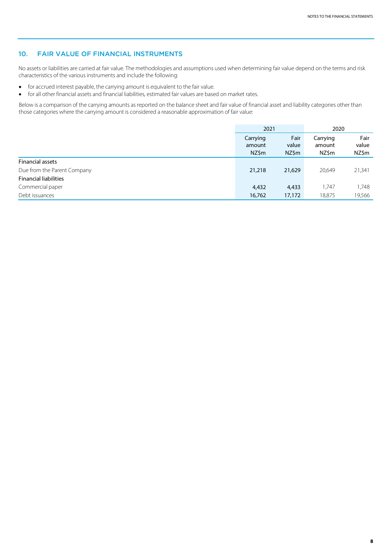#### 10. FAIR VALUE OF FINANCIAL INSTRUMENTS

No assets or liabilities are carried at fair value. The methodologies and assumptions used when determining fair value depend on the terms and risk characteristics of the various instruments and include the following:

- for accrued interest payable, the carrying amount is equivalent to the fair value.
- for all other financial assets and financial liabilities, estimated fair values are based on market rates.

Below is a comparison of the carrying amounts as reported on the balance sheet and fair value of financial asset and liability categories other than those categories where the carrying amount is considered a reasonable approximation of fair value:

|                              | 2021                        |                        | 2020                        |                        |
|------------------------------|-----------------------------|------------------------|-----------------------------|------------------------|
|                              | Carrying<br>amount<br>NZ\$m | Fair<br>value<br>NZ\$m | Carrying<br>amount<br>NZ\$m | Fair<br>value<br>NZ\$m |
| <b>Financial assets</b>      |                             |                        |                             |                        |
| Due from the Parent Company  | 21,218                      | 21,629                 | 20,649                      | 21,341                 |
| <b>Financial liabilities</b> |                             |                        |                             |                        |
| Commercial paper             | 4,432                       | 4,433                  | 1,747                       | 1,748                  |
| Debt issuances               | 16,762                      | 17,172                 | 18,875                      | 19,566                 |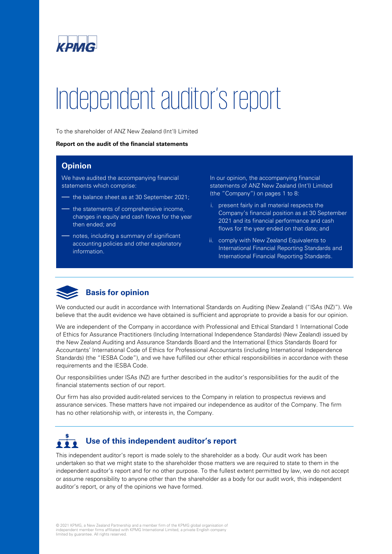

# Independent auditor's report

To the shareholder of ANZ New Zealand (Int'l) Limited

#### **Report on the audit of the financial statements**

#### **Opinion**

We have audited the accompanying financial statements which comprise:

- the balance sheet as at 30 September 2021;
- the statements of comprehensive income, changes in equity and cash flows for the year then ended; and
- notes, including a summary of significant accounting policies and other explanatory information.

In our opinion, the accompanying financial statements of ANZ New Zealand (Int'l) Limited (the "Company") on pages 1 to 8:

- i. present fairly in all material respects the Company's financial position as at 30 September 2021 and its financial performance and cash flows for the year ended on that date; and
- ii. comply with New Zealand Equivalents to International Financial Reporting Standards and International Financial Reporting Standards.



We conducted our audit in accordance with International Standards on Auditing (New Zealand) ("ISAs (NZ)"). We believe that the audit evidence we have obtained is sufficient and appropriate to provide a basis for our opinion.

We are independent of the Company in accordance with Professional and Ethical Standard 1 International Code of Ethics for Assurance Practitioners (Including International Independence Standards) (New Zealand) issued by the New Zealand Auditing and Assurance Standards Board and the International Ethics Standards Board for Accountants' International Code of Ethics for Professional Accountants (including International Independence Standards) (the "IESBA Code"), and we have fulfilled our other ethical responsibilities in accordance with these requirements and the IESBA Code.

Our responsibilities under ISAs (NZ) are further described in the auditor's responsibilities for the audit of the financial statements section of our report.

Our firm has also provided audit-related services to the Company in relation to prospectus reviews and assurance services. These matters have not impaired our independence as auditor of the Company. The firm has no other relationship with, or interests in, the Company.

### **Use of this independent auditor's report** . . .

This independent auditor's report is made solely to the shareholder as a body. Our audit work has been undertaken so that we might state to the shareholder those matters we are required to state to them in the independent auditor's report and for no other purpose. To the fullest extent permitted by law, we do not accept or assume responsibility to anyone other than the shareholder as a body for our audit work, this independent auditor's report, or any of the opinions we have formed.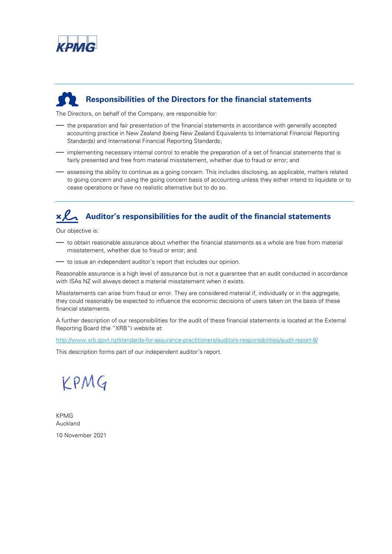

## **Responsibilities of the Directors for the financial statements**

The Directors, on behalf of the Company, are responsible for:

- the preparation and fair presentation of the financial statements in accordance with generally accepted accounting practice in New Zealand (being New Zealand Equivalents to International Financial Reporting Standards) and International Financial Reporting Standards;
- implementing necessary internal control to enable the preparation of a set of financial statements that is fairly presented and free from material misstatement, whether due to fraud or error; and
- assessing the ability to continue as a going concern. This includes disclosing, as applicable, matters related to going concern and using the going concern basis of accounting unless they either intend to liquidate or to cease operations or have no realistic alternative but to do so.

## **Auditor's responsibilities for the audit of the financial statements**

Our objective is:

- to obtain reasonable assurance about whether the financial statements as a whole are free from material misstatement, whether due to fraud or error; and
- to issue an independent auditor's report that includes our opinion.

Reasonable assurance is a high level of assurance but is not a guarantee that an audit conducted in accordance with ISAs NZ will always detect a material misstatement when it exists.

Misstatements can arise from fraud or error. They are considered material if, individually or in the aggregate, they could reasonably be expected to influence the economic decisions of users taken on the basis of these financial statements.

A further description of our responsibilities for the audit of these financial statements is located at the External Reporting Board (the "XRB") website at:

<http://www.xrb.govt.nz/standards-for-assurance-practitioners/auditors-responsibilities/audit-report-8/>

This description forms part of our independent auditor's report.



KPMG Auckland 10 November 2021